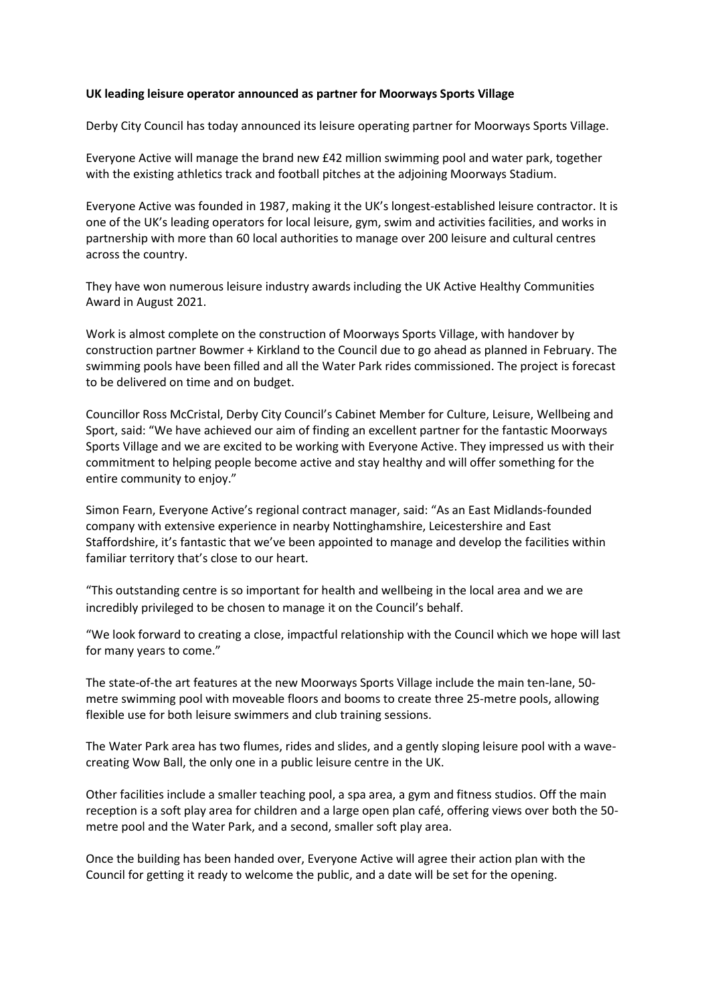## **UK leading leisure operator announced as partner for Moorways Sports Village**

Derby City Council has today announced its leisure operating partner for Moorways Sports Village.

Everyone Active will manage the brand new £42 million swimming pool and water park, together with the existing athletics track and football pitches at the adjoining Moorways Stadium.

Everyone Active was founded in 1987, making it the UK's longest-established leisure contractor. It is one of the UK's leading operators for local leisure, gym, swim and activities facilities, and works in partnership with more than 60 local authorities to manage over 200 leisure and cultural centres across the country.

They have won numerous leisure industry awards including the UK Active Healthy Communities Award in August 2021.

Work is almost complete on the construction of Moorways Sports Village, with handover by construction partner Bowmer + Kirkland to the Council due to go ahead as planned in February. The swimming pools have been filled and all the Water Park rides commissioned. The project is forecast to be delivered on time and on budget.

Councillor Ross McCristal, Derby City Council's Cabinet Member for Culture, Leisure, Wellbeing and Sport, said: "We have achieved our aim of finding an excellent partner for the fantastic Moorways Sports Village and we are excited to be working with Everyone Active. They impressed us with their commitment to helping people become active and stay healthy and will offer something for the entire community to enjoy."

Simon Fearn, Everyone Active's regional contract manager, said: "As an East Midlands-founded company with extensive experience in nearby Nottinghamshire, Leicestershire and East Staffordshire, it's fantastic that we've been appointed to manage and develop the facilities within familiar territory that's close to our heart.

"This outstanding centre is so important for health and wellbeing in the local area and we are incredibly privileged to be chosen to manage it on the Council's behalf.

"We look forward to creating a close, impactful relationship with the Council which we hope will last for many years to come."

The state-of-the art features at the new Moorways Sports Village include the main ten-lane, 50 metre swimming pool with moveable floors and booms to create three 25-metre pools, allowing flexible use for both leisure swimmers and club training sessions.

The Water Park area has two flumes, rides and slides, and a gently sloping leisure pool with a wavecreating Wow Ball, the only one in a public leisure centre in the UK.

Other facilities include a smaller teaching pool, a spa area, a gym and fitness studios. Off the main reception is a soft play area for children and a large open plan café, offering views over both the 50 metre pool and the Water Park, and a second, smaller soft play area.

Once the building has been handed over, Everyone Active will agree their action plan with the Council for getting it ready to welcome the public, and a date will be set for the opening.